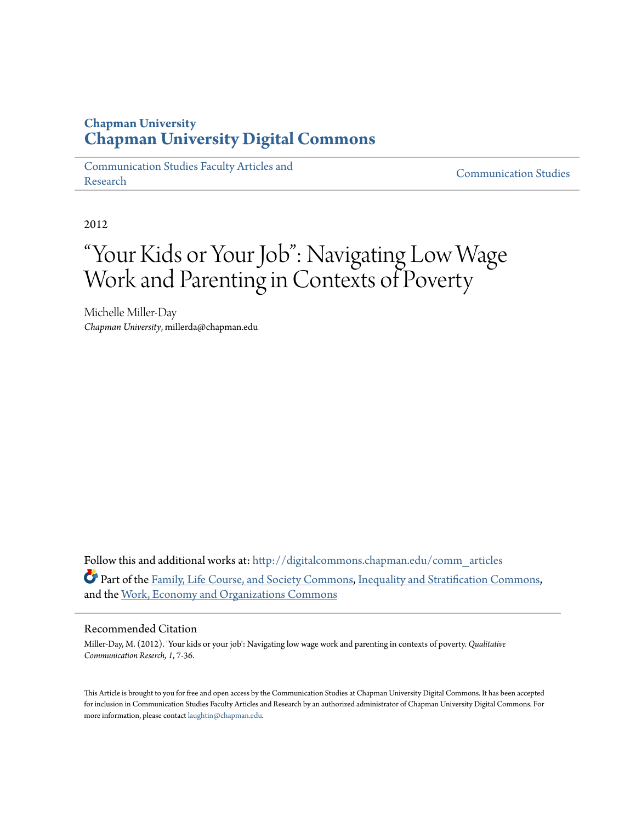## **Chapman University [Chapman University Digital Commons](http://digitalcommons.chapman.edu?utm_source=digitalcommons.chapman.edu%2Fcomm_articles%2F15&utm_medium=PDF&utm_campaign=PDFCoverPages)**

[Communication Studies Faculty Articles and](http://digitalcommons.chapman.edu/comm_articles?utm_source=digitalcommons.chapman.edu%2Fcomm_articles%2F15&utm_medium=PDF&utm_campaign=PDFCoverPages) [Research](http://digitalcommons.chapman.edu/comm_articles?utm_source=digitalcommons.chapman.edu%2Fcomm_articles%2F15&utm_medium=PDF&utm_campaign=PDFCoverPages) [Communication Studies](http://digitalcommons.chapman.edu/communication?utm_source=digitalcommons.chapman.edu%2Fcomm_articles%2F15&utm_medium=PDF&utm_campaign=PDFCoverPages)

2012

# "Your Kids or Your Job": Navigating Low Wage Work and Parenting in Contexts of Poverty

Michelle Miller-Day *Chapman University*, millerda@chapman.edu

Follow this and additional works at: [http://digitalcommons.chapman.edu/comm\\_articles](http://digitalcommons.chapman.edu/comm_articles?utm_source=digitalcommons.chapman.edu%2Fcomm_articles%2F15&utm_medium=PDF&utm_campaign=PDFCoverPages) Part of the [Family, Life Course, and Society Commons](http://network.bepress.com/hgg/discipline/419?utm_source=digitalcommons.chapman.edu%2Fcomm_articles%2F15&utm_medium=PDF&utm_campaign=PDFCoverPages), [Inequality and Stratification Commons,](http://network.bepress.com/hgg/discipline/421?utm_source=digitalcommons.chapman.edu%2Fcomm_articles%2F15&utm_medium=PDF&utm_campaign=PDFCoverPages) and the [Work, Economy and Organizations Commons](http://network.bepress.com/hgg/discipline/433?utm_source=digitalcommons.chapman.edu%2Fcomm_articles%2F15&utm_medium=PDF&utm_campaign=PDFCoverPages)

#### Recommended Citation

Miller-Day, M. (2012). 'Your kids or your job': Navigating low wage work and parenting in contexts of poverty. *Qualitative Communication Reserch, 1*, 7-36.

This Article is brought to you for free and open access by the Communication Studies at Chapman University Digital Commons. It has been accepted for inclusion in Communication Studies Faculty Articles and Research by an authorized administrator of Chapman University Digital Commons. For more information, please contact [laughtin@chapman.edu](mailto:laughtin@chapman.edu).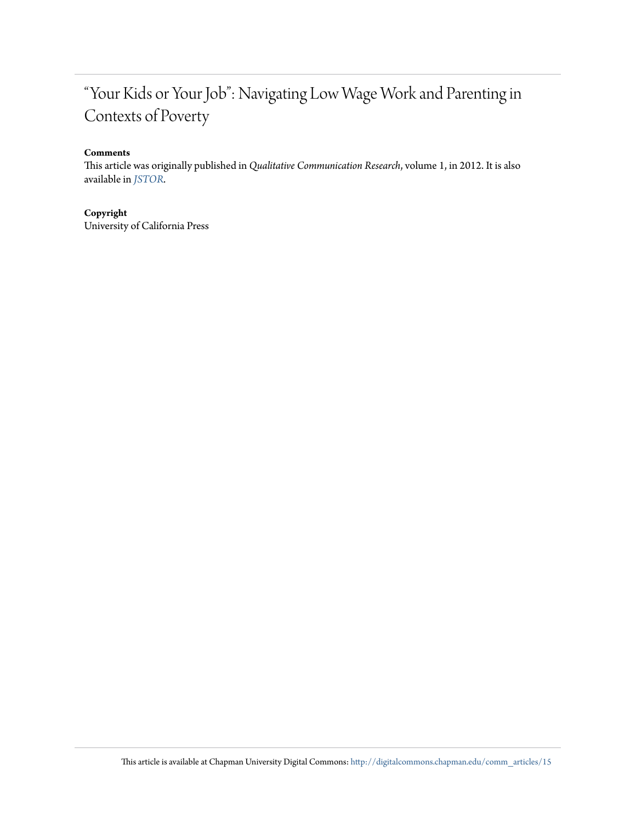## "Your Kids or Your Job": Navigating Low Wage Work and Parenting in Contexts of Poverty

#### **Comments**

This article was originally published in *Qualitative Communication Research*, volume 1, in 2012. It is also available in *[JSTOR](http://www.jstor.org/stable/10.1525/qcr.2012.1.1.7)*.

#### **Copyright**

University of California Press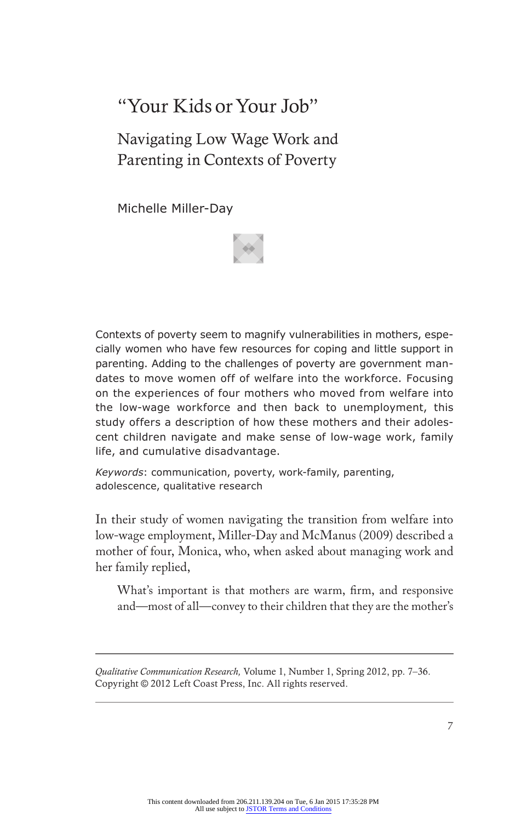## "Your Kids or Your Job"

### Navigating Low Wage Work and Parenting in Contexts of Poverty

Michelle Miller-Day



Contexts of poverty seem to magnify vulnerabilities in mothers, especially women who have few resources for coping and little support in parenting. Adding to the challenges of poverty are government mandates to move women off of welfare into the workforce. Focusing on the experiences of four mothers who moved from welfare into the low-wage workforce and then back to unemployment, this study offers a description of how these mothers and their adolescent children navigate and make sense of low-wage work, family life, and cumulative disadvantage.

*Keywords*: communication, poverty, work-family, parenting, adolescence, qualitative research

In their study of women navigating the transition from welfare into low-wage employment, Miller-Day and McManus (2009) described a mother of four, Monica, who, when asked about managing work and her family replied,

What's important is that mothers are warm, firm, and responsive and—most of all—convey to their children that they are the mother's

*Qualitative Communication Research,* Volume 1, Number 1, Spring 2012, pp. 7–36. Copyright © 2012 Left Coast Press, Inc. All rights reserved.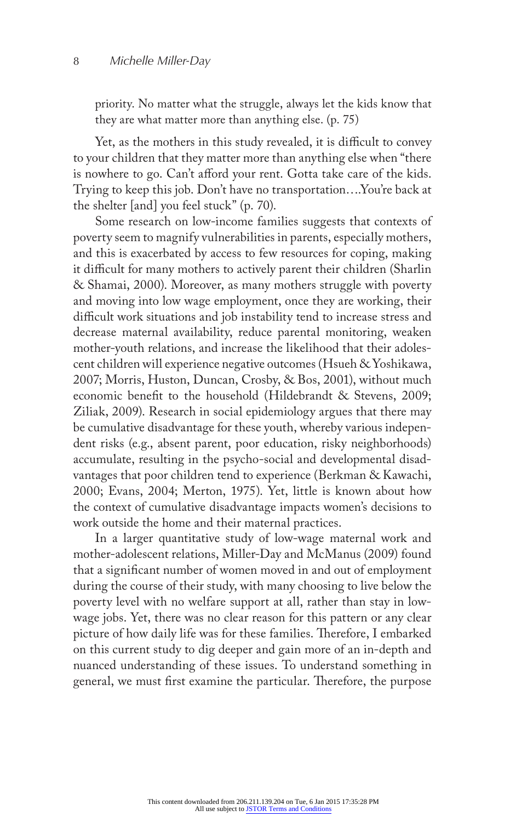priority. No matter what the struggle, always let the kids know that they are what matter more than anything else. (p. 75)

Yet, as the mothers in this study revealed, it is difficult to convey to your children that they matter more than anything else when "there is nowhere to go. Can't afford your rent. Gotta take care of the kids. Trying to keep this job. Don't have no transportation….You're back at the shelter [and] you feel stuck" (p. 70).

Some research on low-income families suggests that contexts of poverty seem to magnify vulnerabilities in parents, especially mothers, and this is exacerbated by access to few resources for coping, making it difficult for many mothers to actively parent their children (Sharlin & Shamai, 2000). Moreover, as many mothers struggle with poverty and moving into low wage employment, once they are working, their difficult work situations and job instability tend to increase stress and decrease maternal availability, reduce parental monitoring, weaken mother-youth relations, and increase the likelihood that their adolescent children will experience negative outcomes (Hsueh & Yoshikawa, 2007; Morris, Huston, Duncan, Crosby, & Bos, 2001), without much economic benefit to the household (Hildebrandt & Stevens, 2009; Ziliak, 2009). Research in social epidemiology argues that there may be cumulative disadvantage for these youth, whereby various independent risks (e.g., absent parent, poor education, risky neighborhoods) accumulate, resulting in the psycho-social and developmental disadvantages that poor children tend to experience (Berkman & Kawachi, 2000; Evans, 2004; Merton, 1975). Yet, little is known about how the context of cumulative disadvantage impacts women's decisions to work outside the home and their maternal practices.

In a larger quantitative study of low-wage maternal work and mother-adolescent relations, Miller-Day and McManus (2009) found that a significant number of women moved in and out of employment during the course of their study, with many choosing to live below the poverty level with no welfare support at all, rather than stay in lowwage jobs. Yet, there was no clear reason for this pattern or any clear picture of how daily life was for these families. Therefore, I embarked on this current study to dig deeper and gain more of an in-depth and nuanced understanding of these issues. To understand something in general, we must first examine the particular. Therefore, the purpose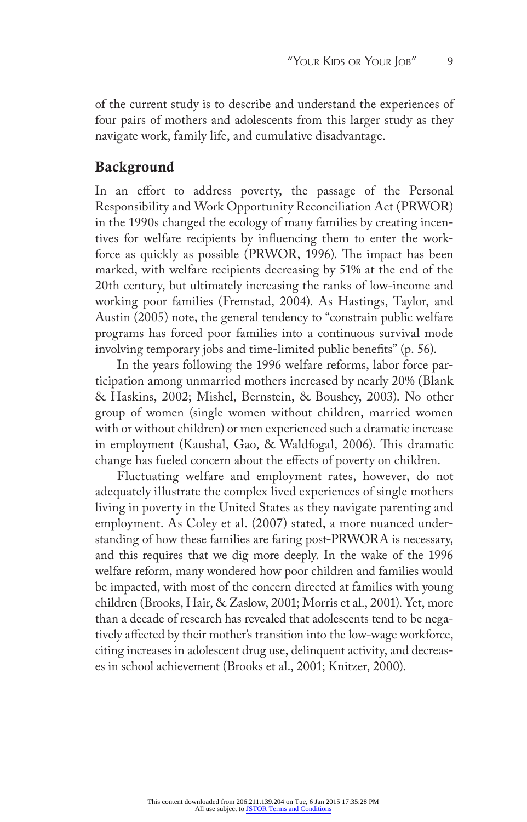of the current study is to describe and understand the experiences of four pairs of mothers and adolescents from this larger study as they navigate work, family life, and cumulative disadvantage.

#### Background

In an effort to address poverty, the passage of the Personal Responsibility and Work Opportunity Reconciliation Act (PRWOR) in the 1990s changed the ecology of many families by creating incentives for welfare recipients by influencing them to enter the workforce as quickly as possible (PRWOR, 1996). The impact has been marked, with welfare recipients decreasing by 51% at the end of the 20th century, but ultimately increasing the ranks of low-income and working poor families (Fremstad, 2004). As Hastings, Taylor, and Austin (2005) note, the general tendency to "constrain public welfare programs has forced poor families into a continuous survival mode involving temporary jobs and time-limited public benefits" (p. 56).

In the years following the 1996 welfare reforms, labor force participation among unmarried mothers increased by nearly 20% (Blank & Haskins, 2002; Mishel, Bernstein, & Boushey, 2003). No other group of women (single women without children, married women with or without children) or men experienced such a dramatic increase in employment (Kaushal, Gao, & Waldfogal, 2006). This dramatic change has fueled concern about the effects of poverty on children.

Fluctuating welfare and employment rates, however, do not adequately illustrate the complex lived experiences of single mothers living in poverty in the United States as they navigate parenting and employment. As Coley et al. (2007) stated, a more nuanced understanding of how these families are faring post-PRWORA is necessary, and this requires that we dig more deeply. In the wake of the 1996 welfare reform, many wondered how poor children and families would be impacted, with most of the concern directed at families with young children (Brooks, Hair, & Zaslow, 2001; Morris et al., 2001). Yet, more than a decade of research has revealed that adolescents tend to be negatively affected by their mother's transition into the low-wage workforce, citing increases in adolescent drug use, delinquent activity, and decreases in school achievement (Brooks et al., 2001; Knitzer, 2000).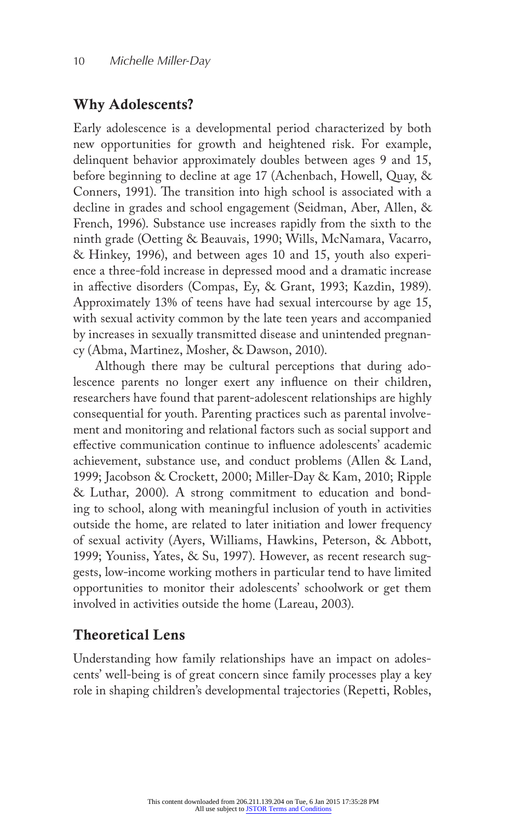#### Why Adolescents?

Early adolescence is a developmental period characterized by both new opportunities for growth and heightened risk. For example, delinquent behavior approximately doubles between ages 9 and 15, before beginning to decline at age 17 (Achenbach, Howell, Quay, & Conners, 1991). The transition into high school is associated with a decline in grades and school engagement (Seidman, Aber, Allen, & French, 1996). Substance use increases rapidly from the sixth to the ninth grade (Oetting & Beauvais, 1990; Wills, McNamara, Vacarro, & Hinkey, 1996), and between ages 10 and 15, youth also experience a three-fold increase in depressed mood and a dramatic increase in affective disorders (Compas, Ey, & Grant, 1993; Kazdin, 1989). Approximately 13% of teens have had sexual intercourse by age 15, with sexual activity common by the late teen years and accompanied by increases in sexually transmitted disease and unintended pregnancy (Abma, Martinez, Mosher, & Dawson, 2010).

Although there may be cultural perceptions that during adolescence parents no longer exert any influence on their children, researchers have found that parent-adolescent relationships are highly consequential for youth. Parenting practices such as parental involvement and monitoring and relational factors such as social support and effective communication continue to influence adolescents' academic achievement, substance use, and conduct problems (Allen & Land, 1999; Jacobson & Crockett, 2000; Miller-Day & Kam, 2010; Ripple & Luthar, 2000). A strong commitment to education and bonding to school, along with meaningful inclusion of youth in activities outside the home, are related to later initiation and lower frequency of sexual activity (Ayers, Williams, Hawkins, Peterson, & Abbott, 1999; Youniss, Yates, & Su, 1997). However, as recent research suggests, low-income working mothers in particular tend to have limited opportunities to monitor their adolescents' schoolwork or get them involved in activities outside the home (Lareau, 2003).

#### Theoretical Lens

Understanding how family relationships have an impact on adolescents' well-being is of great concern since family processes play a key role in shaping children's developmental trajectories (Repetti, Robles,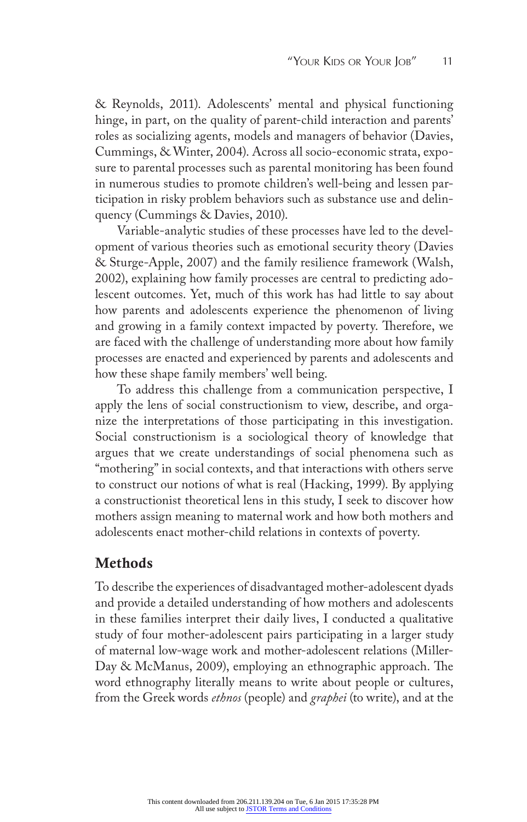& Reynolds, 2011). Adolescents' mental and physical functioning hinge, in part, on the quality of parent-child interaction and parents' roles as socializing agents, models and managers of behavior (Davies, Cummings, & Winter, 2004). Across all socio-economic strata, exposure to parental processes such as parental monitoring has been found in numerous studies to promote children's well-being and lessen participation in risky problem behaviors such as substance use and delinquency (Cummings & Davies, 2010).

Variable-analytic studies of these processes have led to the development of various theories such as emotional security theory (Davies & Sturge-Apple, 2007) and the family resilience framework (Walsh, 2002), explaining how family processes are central to predicting adolescent outcomes. Yet, much of this work has had little to say about how parents and adolescents experience the phenomenon of living and growing in a family context impacted by poverty. Therefore, we are faced with the challenge of understanding more about how family processes are enacted and experienced by parents and adolescents and how these shape family members' well being.

To address this challenge from a communication perspective, I apply the lens of social constructionism to view, describe, and organize the interpretations of those participating in this investigation. Social constructionism is a sociological theory of knowledge that argues that we create understandings of social phenomena such as "mothering" in social contexts, and that interactions with others serve to construct our notions of what is real (Hacking, 1999). By applying a constructionist theoretical lens in this study, I seek to discover how mothers assign meaning to maternal work and how both mothers and adolescents enact mother-child relations in contexts of poverty.

#### Methods

To describe the experiences of disadvantaged mother-adolescent dyads and provide a detailed understanding of how mothers and adolescents in these families interpret their daily lives, I conducted a qualitative study of four mother-adolescent pairs participating in a larger study of maternal low-wage work and mother-adolescent relations (Miller-Day & McManus, 2009), employing an ethnographic approach. The word ethnography literally means to write about people or cultures, from the Greek words *ethnos* (people) and *graphei* (to write), and at the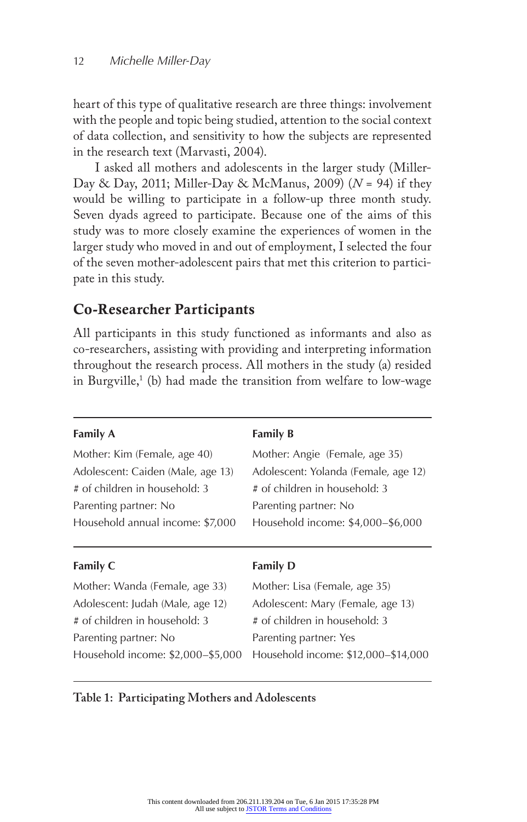heart of this type of qualitative research are three things: involvement with the people and topic being studied, attention to the social context of data collection, and sensitivity to how the subjects are represented in the research text (Marvasti, 2004).

I asked all mothers and adolescents in the larger study (Miller-Day & Day, 2011; Miller-Day & McManus, 2009) (*N* = 94) if they would be willing to participate in a follow-up three month study. Seven dyads agreed to participate. Because one of the aims of this study was to more closely examine the experiences of women in the larger study who moved in and out of employment, I selected the four of the seven mother-adolescent pairs that met this criterion to participate in this study.

#### Co-Researcher Participants

All participants in this study functioned as informants and also as co-researchers, assisting with providing and interpreting information throughout the research process. All mothers in the study (a) resided in Burgville,<sup>1</sup> (b) had made the transition from welfare to low-wage

| <b>Family A</b>                                                                                                                                                 | <b>Family B</b>                                                                                                                                                       |
|-----------------------------------------------------------------------------------------------------------------------------------------------------------------|-----------------------------------------------------------------------------------------------------------------------------------------------------------------------|
| Mother: Kim (Female, age 40)<br>Adolescent: Caiden (Male, age 13)<br># of children in household: 3<br>Parenting partner: No<br>Household annual income: \$7,000 | Mother: Angie (Female, age 35)<br>Adolescent: Yolanda (Female, age 12)<br># of children in household: 3<br>Parenting partner: No<br>Household income: \$4,000-\$6,000 |
|                                                                                                                                                                 |                                                                                                                                                                       |
| <b>Family C</b>                                                                                                                                                 | <b>Family D</b>                                                                                                                                                       |

**Table 1: Participating Mothers and Adolescents**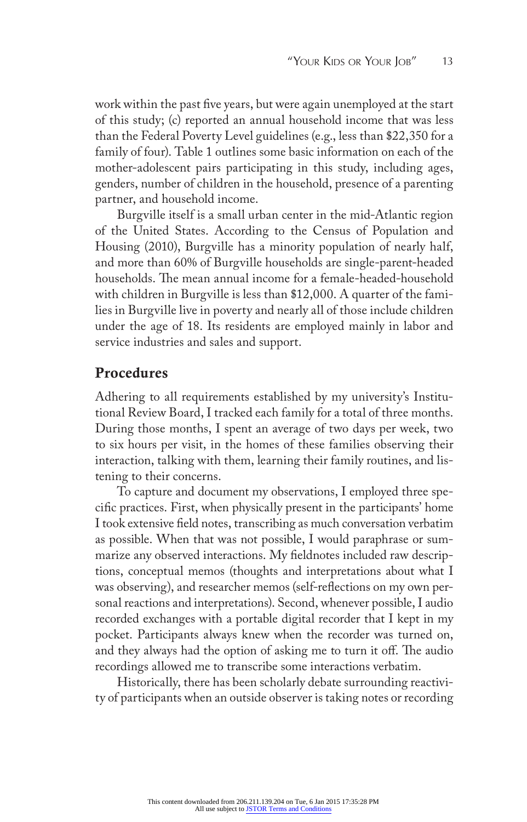work within the past five years, but were again unemployed at the start of this study; (c) reported an annual household income that was less than the Federal Poverty Level guidelines (e.g., less than \$22,350 for a family of four). Table 1 outlines some basic information on each of the mother-adolescent pairs participating in this study, including ages, genders, number of children in the household, presence of a parenting partner, and household income.

Burgville itself is a small urban center in the mid-Atlantic region of the United States. According to the Census of Population and Housing (2010), Burgville has a minority population of nearly half, and more than 60% of Burgville households are single-parent-headed households. The mean annual income for a female-headed-household with children in Burgville is less than \$12,000. A quarter of the families in Burgville live in poverty and nearly all of those include children under the age of 18. Its residents are employed mainly in labor and service industries and sales and support.

#### Procedures

Adhering to all requirements established by my university's Institutional Review Board, I tracked each family for a total of three months. During those months, I spent an average of two days per week, two to six hours per visit, in the homes of these families observing their interaction, talking with them, learning their family routines, and listening to their concerns.

To capture and document my observations, I employed three specific practices. First, when physically present in the participants' home I took extensive field notes, transcribing as much conversation verbatim as possible. When that was not possible, I would paraphrase or summarize any observed interactions. My fieldnotes included raw descriptions, conceptual memos (thoughts and interpretations about what I was observing), and researcher memos (self-reflections on my own personal reactions and interpretations). Second, whenever possible, I audio recorded exchanges with a portable digital recorder that I kept in my pocket. Participants always knew when the recorder was turned on, and they always had the option of asking me to turn it off. The audio recordings allowed me to transcribe some interactions verbatim.

Historically, there has been scholarly debate surrounding reactivity of participants when an outside observer is taking notes or recording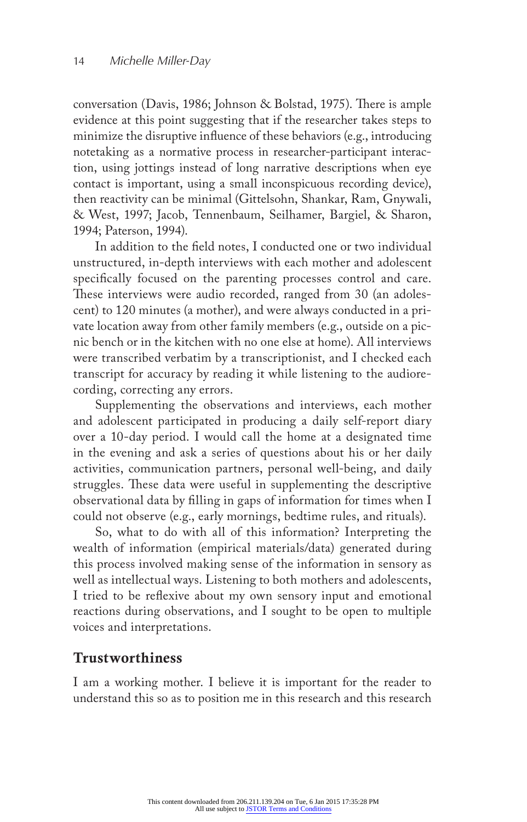conversation (Davis, 1986; Johnson & Bolstad, 1975). There is ample evidence at this point suggesting that if the researcher takes steps to minimize the disruptive influence of these behaviors (e.g., introducing notetaking as a normative process in researcher-participant interaction, using jottings instead of long narrative descriptions when eye contact is important, using a small inconspicuous recording device), then reactivity can be minimal (Gittelsohn, Shankar, Ram, Gnywali, & West, 1997; Jacob, Tennenbaum, Seilhamer, Bargiel, & Sharon, 1994; Paterson, 1994).

In addition to the field notes, I conducted one or two individual unstructured, in-depth interviews with each mother and adolescent specifically focused on the parenting processes control and care. These interviews were audio recorded, ranged from 30 (an adolescent) to 120 minutes (a mother), and were always conducted in a private location away from other family members (e.g., outside on a picnic bench or in the kitchen with no one else at home). All interviews were transcribed verbatim by a transcriptionist, and I checked each transcript for accuracy by reading it while listening to the audiorecording, correcting any errors.

Supplementing the observations and interviews, each mother and adolescent participated in producing a daily self-report diary over a 10-day period. I would call the home at a designated time in the evening and ask a series of questions about his or her daily activities, communication partners, personal well-being, and daily struggles. These data were useful in supplementing the descriptive observational data by filling in gaps of information for times when I could not observe (e.g., early mornings, bedtime rules, and rituals).

So, what to do with all of this information? Interpreting the wealth of information (empirical materials/data) generated during this process involved making sense of the information in sensory as well as intellectual ways. Listening to both mothers and adolescents, I tried to be reflexive about my own sensory input and emotional reactions during observations, and I sought to be open to multiple voices and interpretations.

#### Trustworthiness

I am a working mother. I believe it is important for the reader to understand this so as to position me in this research and this research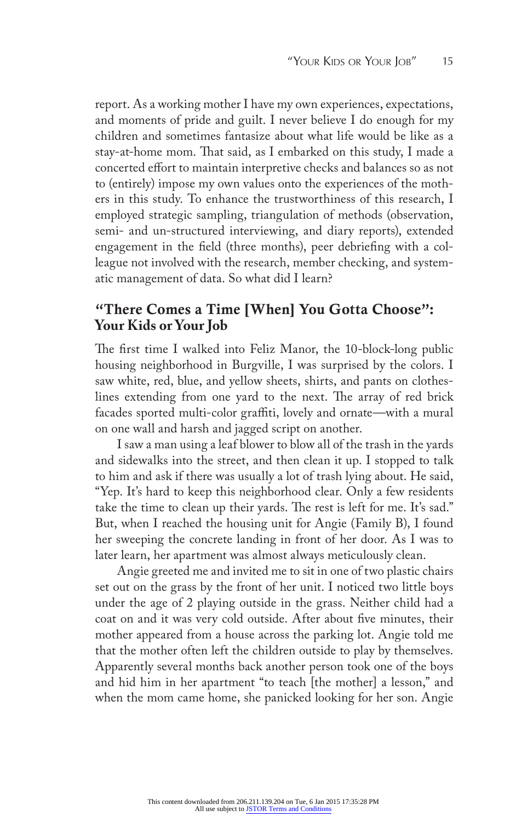report. As a working mother I have my own experiences, expectations, and moments of pride and guilt. I never believe I do enough for my children and sometimes fantasize about what life would be like as a stay-at-home mom. That said, as I embarked on this study, I made a concerted effort to maintain interpretive checks and balances so as not to (entirely) impose my own values onto the experiences of the mothers in this study. To enhance the trustworthiness of this research, I employed strategic sampling, triangulation of methods (observation, semi- and un-structured interviewing, and diary reports), extended engagement in the field (three months), peer debriefing with a colleague not involved with the research, member checking, and systematic management of data. So what did I learn?

#### "There Comes a Time [When] You Gotta Choose": **Your Kids or Your Job**

The first time I walked into Feliz Manor, the 10-block-long public housing neighborhood in Burgville, I was surprised by the colors. I saw white, red, blue, and yellow sheets, shirts, and pants on clotheslines extending from one yard to the next. The array of red brick facades sported multi-color graffiti, lovely and ornate—with a mural on one wall and harsh and jagged script on another.

I saw a man using a leaf blower to blow all of the trash in the yards and sidewalks into the street, and then clean it up. I stopped to talk to him and ask if there was usually a lot of trash lying about. He said, "Yep. It's hard to keep this neighborhood clear. Only a few residents take the time to clean up their yards. The rest is left for me. It's sad." But, when I reached the housing unit for Angie (Family B), I found her sweeping the concrete landing in front of her door. As I was to later learn, her apartment was almost always meticulously clean.

Angie greeted me and invited me to sit in one of two plastic chairs set out on the grass by the front of her unit. I noticed two little boys under the age of 2 playing outside in the grass. Neither child had a coat on and it was very cold outside. After about five minutes, their mother appeared from a house across the parking lot. Angie told me that the mother often left the children outside to play by themselves. Apparently several months back another person took one of the boys and hid him in her apartment "to teach [the mother] a lesson," and when the mom came home, she panicked looking for her son. Angie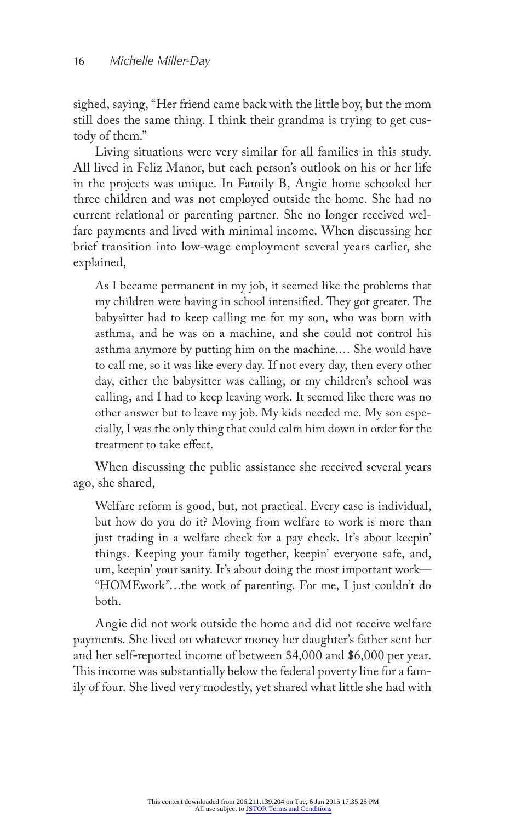sighed, saying, "Her friend came back with the little boy, but the mom still does the same thing. I think their grandma is trying to get custody of them."

Living situations were very similar for all families in this study. All lived in Feliz Manor, but each person's outlook on his or her life in the projects was unique. In Family B, Angie home schooled her three children and was not employed outside the home. She had no current relational or parenting partner. She no longer received welfare payments and lived with minimal income. When discussing her brief transition into low-wage employment several years earlier, she explained,

As I became permanent in my job, it seemed like the problems that my children were having in school intensified. They got greater. The babysitter had to keep calling me for my son, who was born with asthma, and he was on a machine, and she could not control his asthma anymore by putting him on the machine.… She would have to call me, so it was like every day. If not every day, then every other day, either the babysitter was calling, or my children's school was calling, and I had to keep leaving work. It seemed like there was no other answer but to leave my job. My kids needed me. My son especially, I was the only thing that could calm him down in order for the treatment to take effect.

When discussing the public assistance she received several years ago, she shared,

Welfare reform is good, but, not practical. Every case is individual, but how do you do it? Moving from welfare to work is more than just trading in a welfare check for a pay check. It's about keepin' things. Keeping your family together, keepin' everyone safe, and, um, keepin' your sanity. It's about doing the most important work— "HOMEwork"…the work of parenting. For me, I just couldn't do both.

Angie did not work outside the home and did not receive welfare payments. She lived on whatever money her daughter's father sent her and her self-reported income of between \$4,000 and \$6,000 per year. This income was substantially below the federal poverty line for a family of four. She lived very modestly, yet shared what little she had with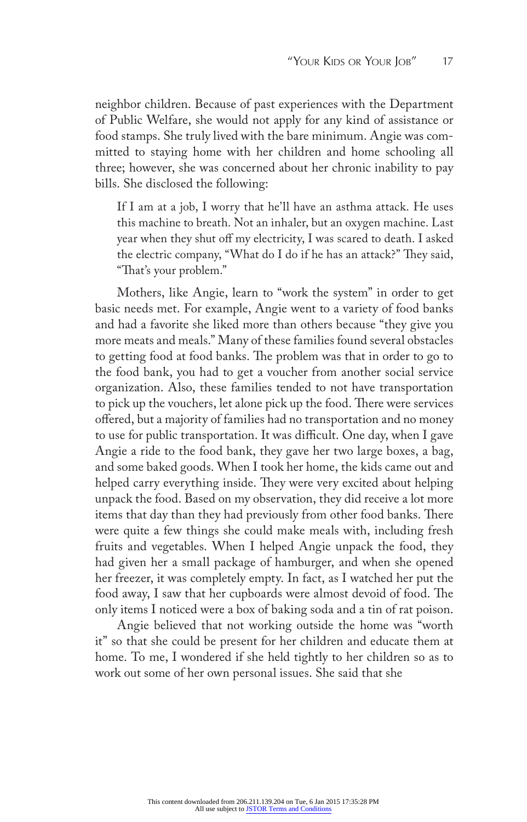neighbor children. Because of past experiences with the Department of Public Welfare, she would not apply for any kind of assistance or food stamps. She truly lived with the bare minimum. Angie was committed to staying home with her children and home schooling all three; however, she was concerned about her chronic inability to pay bills. She disclosed the following:

If I am at a job, I worry that he'll have an asthma attack. He uses this machine to breath. Not an inhaler, but an oxygen machine. Last year when they shut off my electricity, I was scared to death. I asked the electric company, "What do I do if he has an attack?" They said, "That's your problem."

Mothers, like Angie, learn to "work the system" in order to get basic needs met. For example, Angie went to a variety of food banks and had a favorite she liked more than others because "they give you more meats and meals." Many of these families found several obstacles to getting food at food banks. The problem was that in order to go to the food bank, you had to get a voucher from another social service organization. Also, these families tended to not have transportation to pick up the vouchers, let alone pick up the food. There were services offered, but a majority of families had no transportation and no money to use for public transportation. It was difficult. One day, when I gave Angie a ride to the food bank, they gave her two large boxes, a bag, and some baked goods. When I took her home, the kids came out and helped carry everything inside. They were very excited about helping unpack the food. Based on my observation, they did receive a lot more items that day than they had previously from other food banks. There were quite a few things she could make meals with, including fresh fruits and vegetables. When I helped Angie unpack the food, they had given her a small package of hamburger, and when she opened her freezer, it was completely empty. In fact, as I watched her put the food away, I saw that her cupboards were almost devoid of food. The only items I noticed were a box of baking soda and a tin of rat poison.

Angie believed that not working outside the home was "worth it" so that she could be present for her children and educate them at home. To me, I wondered if she held tightly to her children so as to work out some of her own personal issues. She said that she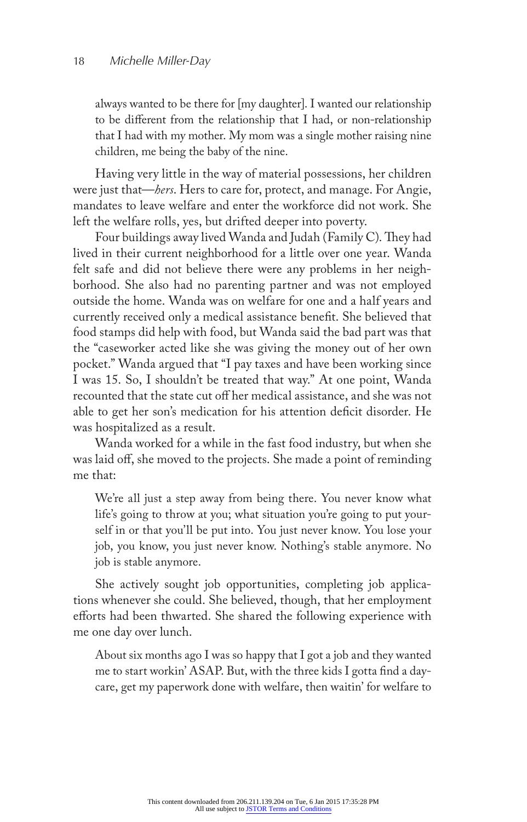always wanted to be there for [my daughter]. I wanted our relationship to be different from the relationship that I had, or non-relationship that I had with my mother. My mom was a single mother raising nine children, me being the baby of the nine.

Having very little in the way of material possessions, her children were just that—*hers*. Hers to care for, protect, and manage. For Angie, mandates to leave welfare and enter the workforce did not work. She left the welfare rolls, yes, but drifted deeper into poverty.

Four buildings away lived Wanda and Judah (Family C). They had lived in their current neighborhood for a little over one year. Wanda felt safe and did not believe there were any problems in her neighborhood. She also had no parenting partner and was not employed outside the home. Wanda was on welfare for one and a half years and currently received only a medical assistance benefit. She believed that food stamps did help with food, but Wanda said the bad part was that the "caseworker acted like she was giving the money out of her own pocket." Wanda argued that "I pay taxes and have been working since I was 15. So, I shouldn't be treated that way." At one point, Wanda recounted that the state cut off her medical assistance, and she was not able to get her son's medication for his attention deficit disorder. He was hospitalized as a result.

Wanda worked for a while in the fast food industry, but when she was laid off, she moved to the projects. She made a point of reminding me that:

We're all just a step away from being there. You never know what life's going to throw at you; what situation you're going to put yourself in or that you'll be put into. You just never know. You lose your job, you know, you just never know. Nothing's stable anymore. No job is stable anymore.

She actively sought job opportunities, completing job applications whenever she could. She believed, though, that her employment efforts had been thwarted. She shared the following experience with me one day over lunch.

About six months ago I was so happy that I got a job and they wanted me to start workin' ASAP. But, with the three kids I gotta find a daycare, get my paperwork done with welfare, then waitin' for welfare to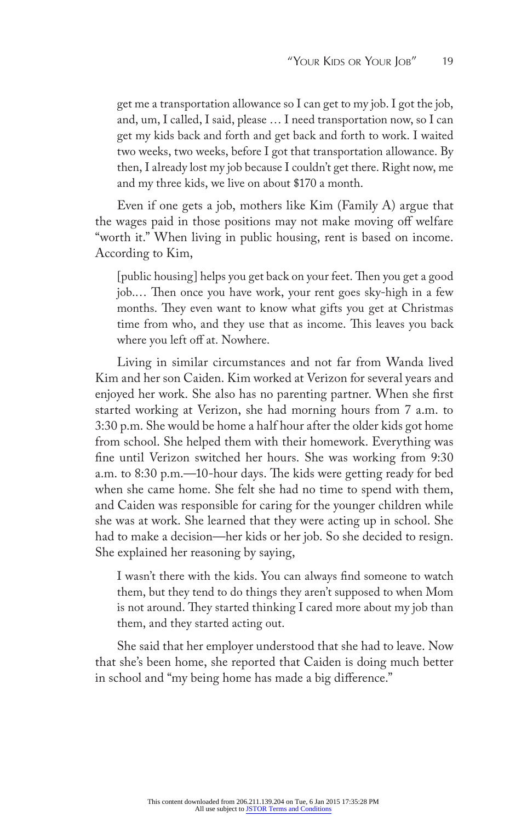get me a transportation allowance so I can get to my job. I got the job, and, um, I called, I said, please … I need transportation now, so I can get my kids back and forth and get back and forth to work. I waited two weeks, two weeks, before I got that transportation allowance. By then, I already lost my job because I couldn't get there. Right now, me and my three kids, we live on about \$170 a month.

Even if one gets a job, mothers like Kim (Family A) argue that the wages paid in those positions may not make moving off welfare "worth it." When living in public housing, rent is based on income. According to Kim,

[public housing] helps you get back on your feet. Then you get a good job.… Then once you have work, your rent goes sky-high in a few months. They even want to know what gifts you get at Christmas time from who, and they use that as income. This leaves you back where you left off at. Nowhere.

Living in similar circumstances and not far from Wanda lived Kim and her son Caiden. Kim worked at Verizon for several years and enjoyed her work. She also has no parenting partner. When she first started working at Verizon, she had morning hours from 7 a.m. to 3:30 p.m. She would be home a half hour after the older kids got home from school. She helped them with their homework. Everything was fine until Verizon switched her hours. She was working from 9:30 a.m. to 8:30 p.m.—10-hour days. The kids were getting ready for bed when she came home. She felt she had no time to spend with them, and Caiden was responsible for caring for the younger children while she was at work. She learned that they were acting up in school. She had to make a decision—her kids or her job. So she decided to resign. She explained her reasoning by saying,

I wasn't there with the kids. You can always find someone to watch them, but they tend to do things they aren't supposed to when Mom is not around. They started thinking I cared more about my job than them, and they started acting out.

She said that her employer understood that she had to leave. Now that she's been home, she reported that Caiden is doing much better in school and "my being home has made a big difference."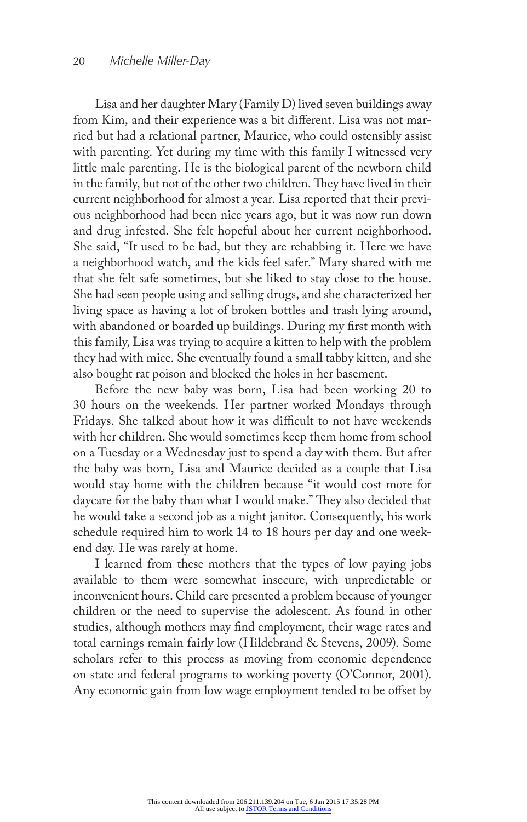Lisa and her daughter Mary (Family D) lived seven buildings away from Kim, and their experience was a bit different. Lisa was not married but had a relational partner, Maurice, who could ostensibly assist with parenting. Yet during my time with this family I witnessed very little male parenting. He is the biological parent of the newborn child in the family, but not of the other two children. They have lived in their current neighborhood for almost a year. Lisa reported that their previous neighborhood had been nice years ago, but it was now run down and drug infested. She felt hopeful about her current neighborhood. She said, "It used to be bad, but they are rehabbing it. Here we have a neighborhood watch, and the kids feel safer." Mary shared with me that she felt safe sometimes, but she liked to stay close to the house. She had seen people using and selling drugs, and she characterized her living space as having a lot of broken bottles and trash lying around, with abandoned or boarded up buildings. During my first month with this family, Lisa was trying to acquire a kitten to help with the problem they had with mice. She eventually found a small tabby kitten, and she also bought rat poison and blocked the holes in her basement.

Before the new baby was born, Lisa had been working 20 to 30 hours on the weekends. Her partner worked Mondays through Fridays. She talked about how it was difficult to not have weekends with her children. She would sometimes keep them home from school on a Tuesday or a Wednesday just to spend a day with them. But after the baby was born, Lisa and Maurice decided as a couple that Lisa would stay home with the children because "it would cost more for daycare for the baby than what I would make." They also decided that he would take a second job as a night janitor. Consequently, his work schedule required him to work 14 to 18 hours per day and one weekend day. He was rarely at home.

I learned from these mothers that the types of low paying jobs available to them were somewhat insecure, with unpredictable or inconvenient hours. Child care presented a problem because of younger children or the need to supervise the adolescent. As found in other studies, although mothers may find employment, their wage rates and total earnings remain fairly low (Hildebrand & Stevens, 2009). Some scholars refer to this process as moving from economic dependence on state and federal programs to working poverty (O'Connor, 2001). Any economic gain from low wage employment tended to be offset by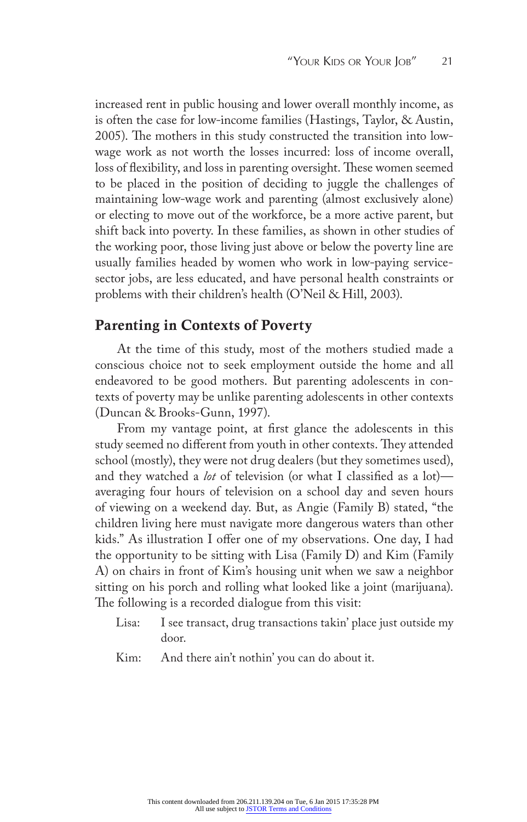increased rent in public housing and lower overall monthly income, as is often the case for low-income families (Hastings, Taylor, & Austin, 2005). The mothers in this study constructed the transition into lowwage work as not worth the losses incurred: loss of income overall, loss of flexibility, and loss in parenting oversight. These women seemed to be placed in the position of deciding to juggle the challenges of maintaining low-wage work and parenting (almost exclusively alone) or electing to move out of the workforce, be a more active parent, but shift back into poverty. In these families, as shown in other studies of the working poor, those living just above or below the poverty line are usually families headed by women who work in low-paying servicesector jobs, are less educated, and have personal health constraints or problems with their children's health (O'Neil & Hill, 2003).

#### Parenting in Contexts of Poverty

At the time of this study, most of the mothers studied made a conscious choice not to seek employment outside the home and all endeavored to be good mothers. But parenting adolescents in contexts of poverty may be unlike parenting adolescents in other contexts (Duncan & Brooks-Gunn, 1997).

From my vantage point, at first glance the adolescents in this study seemed no different from youth in other contexts. They attended school (mostly), they were not drug dealers (but they sometimes used), and they watched a *lot* of television (or what I classified as a lot) averaging four hours of television on a school day and seven hours of viewing on a weekend day. But, as Angie (Family B) stated, "the children living here must navigate more dangerous waters than other kids." As illustration I offer one of my observations. One day, I had the opportunity to be sitting with Lisa (Family D) and Kim (Family A) on chairs in front of Kim's housing unit when we saw a neighbor sitting on his porch and rolling what looked like a joint (marijuana). The following is a recorded dialogue from this visit:

- Lisa: I see transact, drug transactions takin' place just outside my door.
- Kim: And there ain't nothin' you can do about it.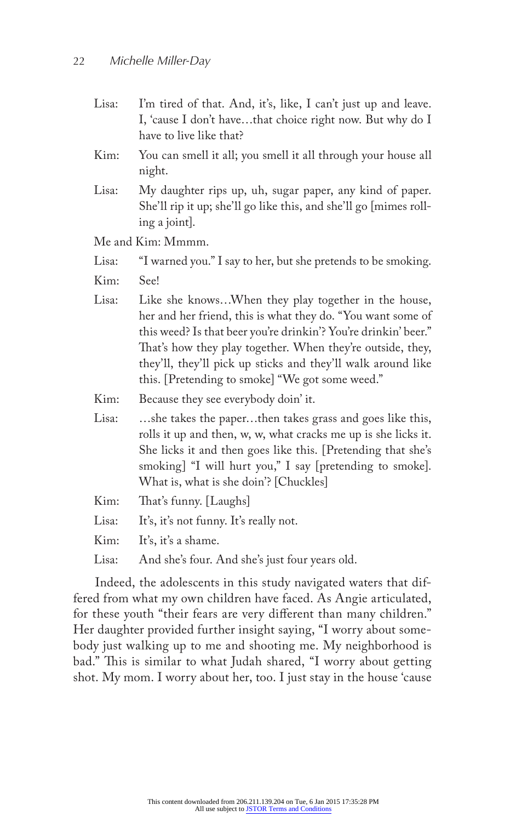- Lisa: I'm tired of that. And, it's, like, I can't just up and leave. I, 'cause I don't have…that choice right now. But why do I have to live like that?
- Kim: You can smell it all; you smell it all through your house all night.
- Lisa: My daughter rips up, uh, sugar paper, any kind of paper. She'll rip it up; she'll go like this, and she'll go [mimes rolling a joint].

Me and Kim: Mmmm.

- Lisa: "I warned you." I say to her, but she pretends to be smoking.
- Kim: See!
- Lisa: Like she knows…When they play together in the house, her and her friend, this is what they do. "You want some of this weed? Is that beer you're drinkin'? You're drinkin' beer." That's how they play together. When they're outside, they, they'll, they'll pick up sticks and they'll walk around like this. [Pretending to smoke] "We got some weed."
- Kim: Because they see everybody doin' it.
- Lisa: …she takes the paper…then takes grass and goes like this, rolls it up and then, w, w, what cracks me up is she licks it. She licks it and then goes like this. [Pretending that she's smoking] "I will hurt you," I say [pretending to smoke]. What is, what is she doin'? [Chuckles]
- Kim: That's funny. [Laughs]

Lisa: It's, it's not funny. It's really not.

- Kim: It's, it's a shame.
- Lisa: And she's four. And she's just four years old.

Indeed, the adolescents in this study navigated waters that differed from what my own children have faced. As Angie articulated, for these youth "their fears are very different than many children." Her daughter provided further insight saying, "I worry about somebody just walking up to me and shooting me. My neighborhood is bad." This is similar to what Judah shared, "I worry about getting shot. My mom. I worry about her, too. I just stay in the house 'cause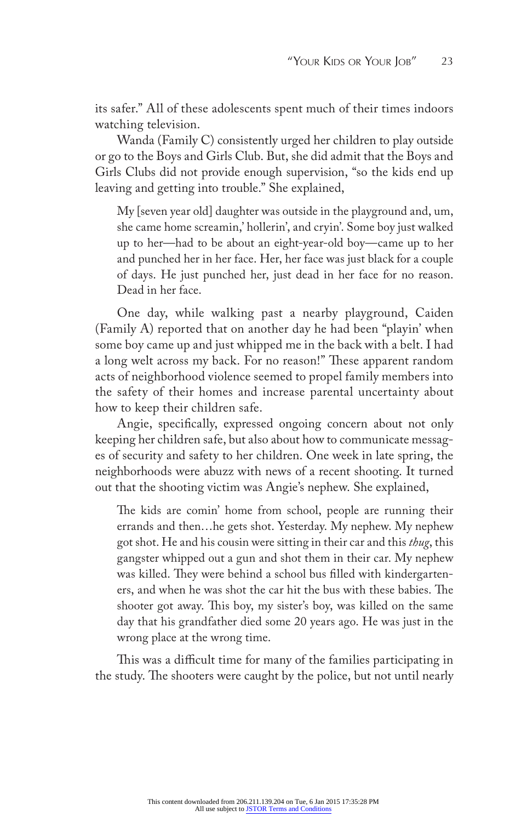its safer." All of these adolescents spent much of their times indoors watching television.

Wanda (Family C) consistently urged her children to play outside or go to the Boys and Girls Club. But, she did admit that the Boys and Girls Clubs did not provide enough supervision, "so the kids end up leaving and getting into trouble." She explained,

My [seven year old] daughter was outside in the playground and, um, she came home screamin,' hollerin', and cryin'. Some boy just walked up to her—had to be about an eight-year-old boy—came up to her and punched her in her face. Her, her face was just black for a couple of days. He just punched her, just dead in her face for no reason. Dead in her face.

One day, while walking past a nearby playground, Caiden (Family A) reported that on another day he had been "playin' when some boy came up and just whipped me in the back with a belt. I had a long welt across my back. For no reason!" These apparent random acts of neighborhood violence seemed to propel family members into the safety of their homes and increase parental uncertainty about how to keep their children safe.

Angie, specifically, expressed ongoing concern about not only keeping her children safe, but also about how to communicate messages of security and safety to her children. One week in late spring, the neighborhoods were abuzz with news of a recent shooting. It turned out that the shooting victim was Angie's nephew. She explained,

The kids are comin' home from school, people are running their errands and then…he gets shot. Yesterday. My nephew. My nephew got shot. He and his cousin were sitting in their car and this *thug*, this gangster whipped out a gun and shot them in their car. My nephew was killed. They were behind a school bus filled with kindergarteners, and when he was shot the car hit the bus with these babies. The shooter got away. This boy, my sister's boy, was killed on the same day that his grandfather died some 20 years ago. He was just in the wrong place at the wrong time.

This was a difficult time for many of the families participating in the study. The shooters were caught by the police, but not until nearly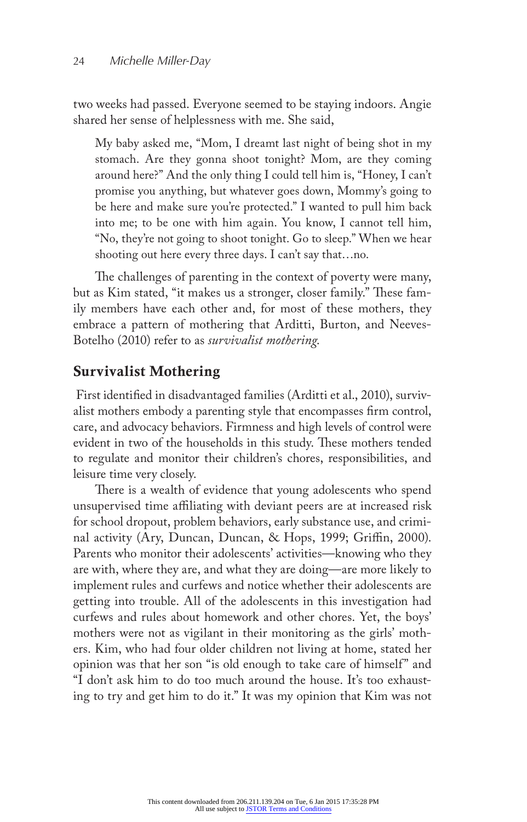two weeks had passed. Everyone seemed to be staying indoors. Angie shared her sense of helplessness with me. She said,

My baby asked me, "Mom, I dreamt last night of being shot in my stomach. Are they gonna shoot tonight? Mom, are they coming around here?" And the only thing I could tell him is, "Honey, I can't promise you anything, but whatever goes down, Mommy's going to be here and make sure you're protected." I wanted to pull him back into me; to be one with him again. You know, I cannot tell him, "No, they're not going to shoot tonight. Go to sleep." When we hear shooting out here every three days. I can't say that…no.

The challenges of parenting in the context of poverty were many, but as Kim stated, "it makes us a stronger, closer family." These family members have each other and, for most of these mothers, they embrace a pattern of mothering that Arditti, Burton, and Neeves-Botelho (2010) refer to as *survivalist mothering*.

#### Survivalist Mothering

 First identified in disadvantaged families (Arditti et al., 2010), survivalist mothers embody a parenting style that encompasses firm control, care, and advocacy behaviors. Firmness and high levels of control were evident in two of the households in this study. These mothers tended to regulate and monitor their children's chores, responsibilities, and leisure time very closely.

There is a wealth of evidence that young adolescents who spend unsupervised time affiliating with deviant peers are at increased risk for school dropout, problem behaviors, early substance use, and criminal activity (Ary, Duncan, Duncan, & Hops, 1999; Griffin, 2000). Parents who monitor their adolescents' activities—knowing who they are with, where they are, and what they are doing—are more likely to implement rules and curfews and notice whether their adolescents are getting into trouble. All of the adolescents in this investigation had curfews and rules about homework and other chores. Yet, the boys' mothers were not as vigilant in their monitoring as the girls' mothers. Kim, who had four older children not living at home, stated her opinion was that her son "is old enough to take care of himself" and "I don't ask him to do too much around the house. It's too exhausting to try and get him to do it." It was my opinion that Kim was not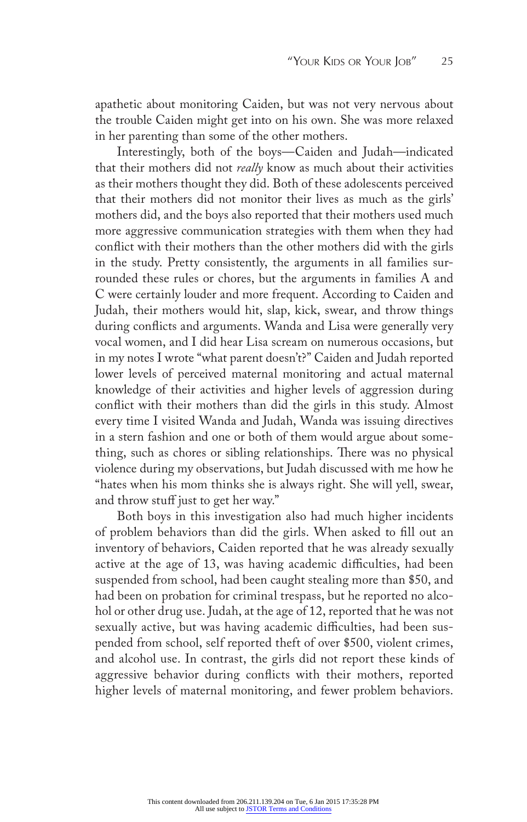apathetic about monitoring Caiden, but was not very nervous about the trouble Caiden might get into on his own. She was more relaxed in her parenting than some of the other mothers.

Interestingly, both of the boys—Caiden and Judah—indicated that their mothers did not *really* know as much about their activities as their mothers thought they did. Both of these adolescents perceived that their mothers did not monitor their lives as much as the girls' mothers did, and the boys also reported that their mothers used much more aggressive communication strategies with them when they had conflict with their mothers than the other mothers did with the girls in the study. Pretty consistently, the arguments in all families surrounded these rules or chores, but the arguments in families A and C were certainly louder and more frequent. According to Caiden and Judah, their mothers would hit, slap, kick, swear, and throw things during conflicts and arguments. Wanda and Lisa were generally very vocal women, and I did hear Lisa scream on numerous occasions, but in my notes I wrote "what parent doesn't?" Caiden and Judah reported lower levels of perceived maternal monitoring and actual maternal knowledge of their activities and higher levels of aggression during conflict with their mothers than did the girls in this study. Almost every time I visited Wanda and Judah, Wanda was issuing directives in a stern fashion and one or both of them would argue about something, such as chores or sibling relationships. There was no physical violence during my observations, but Judah discussed with me how he "hates when his mom thinks she is always right. She will yell, swear, and throw stuff just to get her way."

Both boys in this investigation also had much higher incidents of problem behaviors than did the girls. When asked to fill out an inventory of behaviors, Caiden reported that he was already sexually active at the age of 13, was having academic difficulties, had been suspended from school, had been caught stealing more than \$50, and had been on probation for criminal trespass, but he reported no alcohol or other drug use. Judah, at the age of 12, reported that he was not sexually active, but was having academic difficulties, had been suspended from school, self reported theft of over \$500, violent crimes, and alcohol use. In contrast, the girls did not report these kinds of aggressive behavior during conflicts with their mothers, reported higher levels of maternal monitoring, and fewer problem behaviors.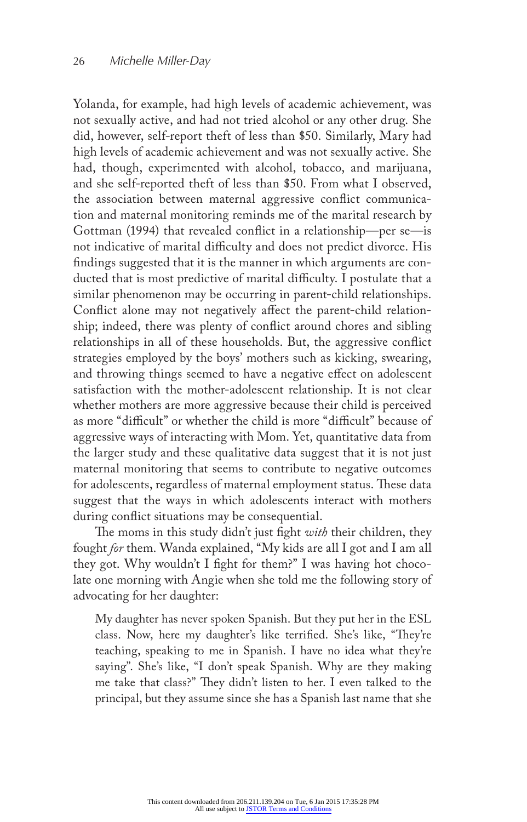Yolanda, for example, had high levels of academic achievement, was not sexually active, and had not tried alcohol or any other drug. She did, however, self-report theft of less than \$50. Similarly, Mary had high levels of academic achievement and was not sexually active. She had, though, experimented with alcohol, tobacco, and marijuana, and she self-reported theft of less than \$50. From what I observed, the association between maternal aggressive conflict communication and maternal monitoring reminds me of the marital research by Gottman (1994) that revealed conflict in a relationship—per se—is not indicative of marital difficulty and does not predict divorce. His findings suggested that it is the manner in which arguments are conducted that is most predictive of marital difficulty. I postulate that a similar phenomenon may be occurring in parent-child relationships. Conflict alone may not negatively affect the parent-child relationship; indeed, there was plenty of conflict around chores and sibling relationships in all of these households. But, the aggressive conflict strategies employed by the boys' mothers such as kicking, swearing, and throwing things seemed to have a negative effect on adolescent satisfaction with the mother-adolescent relationship. It is not clear whether mothers are more aggressive because their child is perceived as more "difficult" or whether the child is more "difficult" because of aggressive ways of interacting with Mom. Yet, quantitative data from the larger study and these qualitative data suggest that it is not just maternal monitoring that seems to contribute to negative outcomes for adolescents, regardless of maternal employment status. These data suggest that the ways in which adolescents interact with mothers during conflict situations may be consequential.

The moms in this study didn't just fight *with* their children, they fought *for* them. Wanda explained, "My kids are all I got and I am all they got. Why wouldn't I fight for them?" I was having hot chocolate one morning with Angie when she told me the following story of advocating for her daughter:

My daughter has never spoken Spanish. But they put her in the ESL class. Now, here my daughter's like terrified. She's like, "They're teaching, speaking to me in Spanish. I have no idea what they're saying". She's like, "I don't speak Spanish. Why are they making me take that class?" They didn't listen to her. I even talked to the principal, but they assume since she has a Spanish last name that she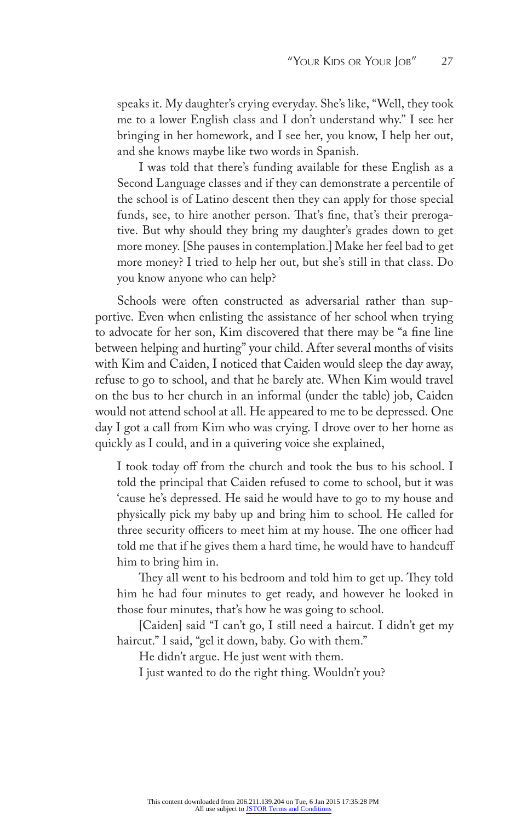speaks it. My daughter's crying everyday. She's like, "Well, they took me to a lower English class and I don't understand why." I see her bringing in her homework, and I see her, you know, I help her out, and she knows maybe like two words in Spanish.

I was told that there's funding available for these English as a Second Language classes and if they can demonstrate a percentile of the school is of Latino descent then they can apply for those special funds, see, to hire another person. That's fine, that's their prerogative. But why should they bring my daughter's grades down to get more money. [She pauses in contemplation.] Make her feel bad to get more money? I tried to help her out, but she's still in that class. Do you know anyone who can help?

Schools were often constructed as adversarial rather than supportive. Even when enlisting the assistance of her school when trying to advocate for her son, Kim discovered that there may be "a fine line between helping and hurting" your child. After several months of visits with Kim and Caiden, I noticed that Caiden would sleep the day away, refuse to go to school, and that he barely ate. When Kim would travel on the bus to her church in an informal (under the table) job, Caiden would not attend school at all. He appeared to me to be depressed. One day I got a call from Kim who was crying. I drove over to her home as quickly as I could, and in a quivering voice she explained,

I took today off from the church and took the bus to his school. I told the principal that Caiden refused to come to school, but it was 'cause he's depressed. He said he would have to go to my house and physically pick my baby up and bring him to school. He called for three security officers to meet him at my house. The one officer had told me that if he gives them a hard time, he would have to handcuff him to bring him in.

They all went to his bedroom and told him to get up. They told him he had four minutes to get ready, and however he looked in those four minutes, that's how he was going to school.

[Caiden] said "I can't go, I still need a haircut. I didn't get my haircut." I said, "gel it down, baby. Go with them."

He didn't argue. He just went with them.

I just wanted to do the right thing. Wouldn't you?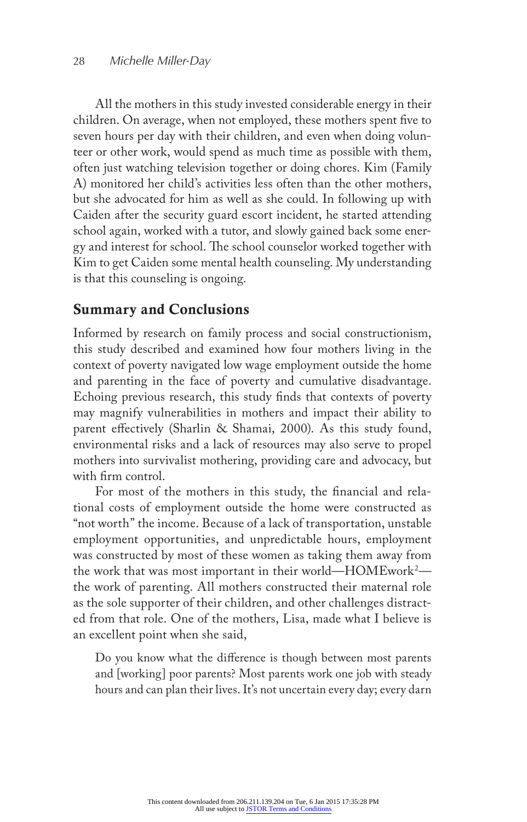All the mothers in this study invested considerable energy in their children. On average, when not employed, these mothers spent five to seven hours per day with their children, and even when doing volunteer or other work, would spend as much time as possible with them, often just watching television together or doing chores. Kim (Family A) monitored her child's activities less often than the other mothers, but she advocated for him as well as she could. In following up with Caiden after the security guard escort incident, he started attending school again, worked with a tutor, and slowly gained back some energy and interest for school. The school counselor worked together with Kim to get Caiden some mental health counseling. My understanding is that this counseling is ongoing.

#### Summary and Conclusions

Informed by research on family process and social constructionism, this study described and examined how four mothers living in the context of poverty navigated low wage employment outside the home and parenting in the face of poverty and cumulative disadvantage. Echoing previous research, this study finds that contexts of poverty may magnify vulnerabilities in mothers and impact their ability to parent effectively (Sharlin & Shamai, 2000). As this study found, environmental risks and a lack of resources may also serve to propel mothers into survivalist mothering, providing care and advocacy, but with firm control.

For most of the mothers in this study, the financial and relational costs of employment outside the home were constructed as "not worth" the income. Because of a lack of transportation, unstable employment opportunities, and unpredictable hours, employment was constructed by most of these women as taking them away from the work that was most important in their world—HOMEwork<sup>2</sup> the work of parenting. All mothers constructed their maternal role as the sole supporter of their children, and other challenges distracted from that role. One of the mothers, Lisa, made what I believe is an excellent point when she said,

Do you know what the difference is though between most parents and [working] poor parents? Most parents work one job with steady hours and can plan their lives. It's not uncertain every day; every darn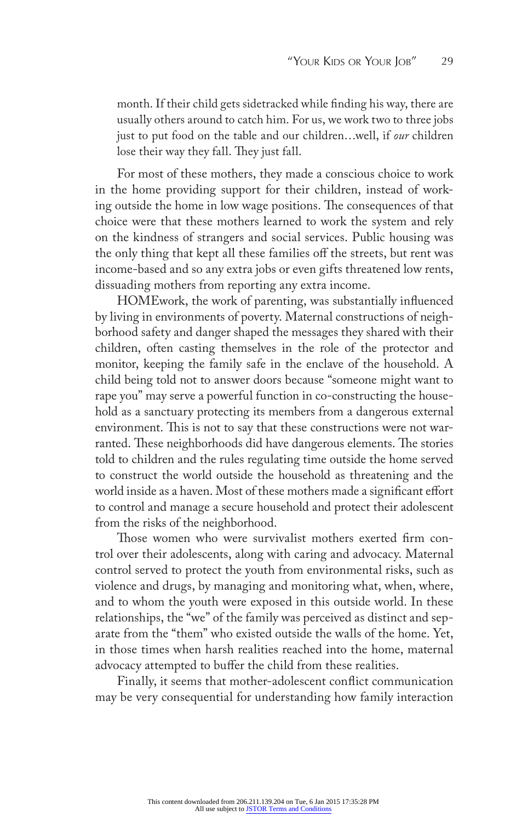month. If their child gets sidetracked while finding his way, there are usually others around to catch him. For us, we work two to three jobs just to put food on the table and our children…well, if *our* children lose their way they fall. They just fall.

For most of these mothers, they made a conscious choice to work in the home providing support for their children, instead of working outside the home in low wage positions. The consequences of that choice were that these mothers learned to work the system and rely on the kindness of strangers and social services. Public housing was the only thing that kept all these families off the streets, but rent was income-based and so any extra jobs or even gifts threatened low rents, dissuading mothers from reporting any extra income.

HOMEwork, the work of parenting, was substantially influenced by living in environments of poverty. Maternal constructions of neighborhood safety and danger shaped the messages they shared with their children, often casting themselves in the role of the protector and monitor, keeping the family safe in the enclave of the household. A child being told not to answer doors because "someone might want to rape you" may serve a powerful function in co-constructing the household as a sanctuary protecting its members from a dangerous external environment. This is not to say that these constructions were not warranted. These neighborhoods did have dangerous elements. The stories told to children and the rules regulating time outside the home served to construct the world outside the household as threatening and the world inside as a haven. Most of these mothers made a significant effort to control and manage a secure household and protect their adolescent from the risks of the neighborhood.

Those women who were survivalist mothers exerted firm control over their adolescents, along with caring and advocacy. Maternal control served to protect the youth from environmental risks, such as violence and drugs, by managing and monitoring what, when, where, and to whom the youth were exposed in this outside world. In these relationships, the "we" of the family was perceived as distinct and separate from the "them" who existed outside the walls of the home. Yet, in those times when harsh realities reached into the home, maternal advocacy attempted to buffer the child from these realities.

Finally, it seems that mother-adolescent conflict communication may be very consequential for understanding how family interaction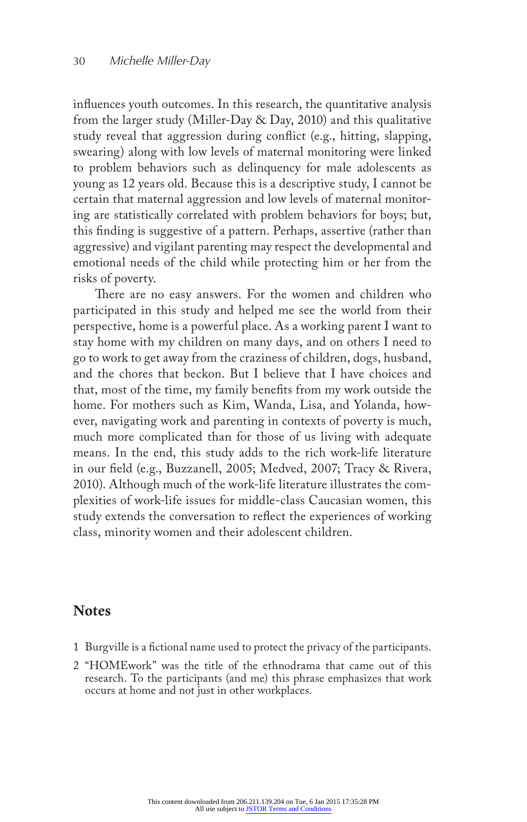influences youth outcomes. In this research, the quantitative analysis from the larger study (Miller-Day & Day, 2010) and this qualitative study reveal that aggression during conflict (e.g., hitting, slapping, swearing) along with low levels of maternal monitoring were linked to problem behaviors such as delinquency for male adolescents as young as 12 years old. Because this is a descriptive study, I cannot be certain that maternal aggression and low levels of maternal monitoring are statistically correlated with problem behaviors for boys; but, this finding is suggestive of a pattern. Perhaps, assertive (rather than aggressive) and vigilant parenting may respect the developmental and emotional needs of the child while protecting him or her from the risks of poverty.

There are no easy answers. For the women and children who participated in this study and helped me see the world from their perspective, home is a powerful place. As a working parent I want to stay home with my children on many days, and on others I need to go to work to get away from the craziness of children, dogs, husband, and the chores that beckon. But I believe that I have choices and that, most of the time, my family benefits from my work outside the home. For mothers such as Kim, Wanda, Lisa, and Yolanda, however, navigating work and parenting in contexts of poverty is much, much more complicated than for those of us living with adequate means. In the end, this study adds to the rich work-life literature in our field (e.g., Buzzanell, 2005; Medved, 2007; Tracy & Rivera, 2010). Although much of the work-life literature illustrates the complexities of work-life issues for middle-class Caucasian women, this study extends the conversation to reflect the experiences of working class, minority women and their adolescent children.

#### **Notes**

- 1 Burgville is a fictional name used to protect the privacy of the participants.
- 2 "HOMEwork" was the title of the ethnodrama that came out of this research. To the participants (and me) this phrase emphasizes that work occurs at home and not just in other workplaces.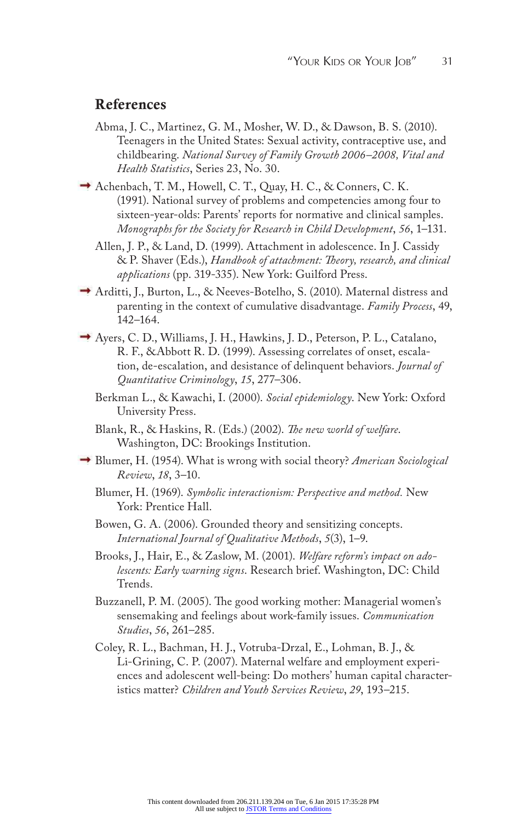#### References

- Abma, J. C., Martinez, G. M., Mosher, W. D., & Dawson, B. S. (2010). Teenagers in the United States: Sexual activity, contraceptive use, and childbearing. *National Survey of Family Growth 2006–2008, Vital and Health Statistics*, Series 23, No. 30.
- Achenbach, T. M., Howell, C. T., Quay, H. C., & Conners, C. K. (1991). National survey of problems and competencies among four to sixteen-year-olds: Parents' reports for normative and clinical samples. *Monographs for the Society for Research in Child Development*, *56*, 1–131.
	- Allen, J. P., & Land, D. (1999). Attachment in adolescence. In J. Cassidy & P. Shaver (Eds.), *Handbook of attachment: Theory, research, and clinical applications* (pp. 319-335). New York: Guilford Press.
- Arditti, J., Burton, L., & Neeves-Botelho, S. (2010). Maternal distress and parenting in the context of cumulative disadvantage. *Family Process*, 49, 142–164.
- Ayers, C. D., Williams, J. H., Hawkins, J. D., Peterson, P. L., Catalano, R. F., &Abbott R. D. (1999). Assessing correlates of onset, escalation, de-escalation, and desistance of delinquent behaviors. *Journal of Quantitative Criminology*, *15*, 277–306.
	- Berkman L., & Kawachi, I. (2000). *Social epidemiology*. New York: Oxford University Press.
	- Blank, R., & Haskins, R. (Eds.) (2002). *The new world of welfare*. Washington, DC: Brookings Institution.
- Blumer, H. (1954). What is wrong with social theory? *American Sociological Review*, *18*, 3–10.
	- Blumer, H. (1969). *Symbolic interactionism: Perspective and method.* New York: Prentice Hall.
	- Bowen, G. A. (2006). Grounded theory and sensitizing concepts. *International Journal of Qualitative Methods*, *5*(3), 1–9.
	- Brooks, J., Hair, E., & Zaslow, M. (2001). *Welfare reform's impact on adolescents: Early warning signs*. Research brief. Washington, DC: Child Trends.
	- Buzzanell, P. M. (2005). The good working mother: Managerial women's sensemaking and feelings about work-family issues. *Communication Studies*, *56*, 261–285.
	- Coley, R. L., Bachman, H. J., Votruba-Drzal, E., Lohman, B. J., & Li-Grining, C. P. (2007). Maternal welfare and employment experiences and adolescent well-being: Do mothers' human capital characteristics matter? *Children and Youth Services Review*, *29*, 193–215.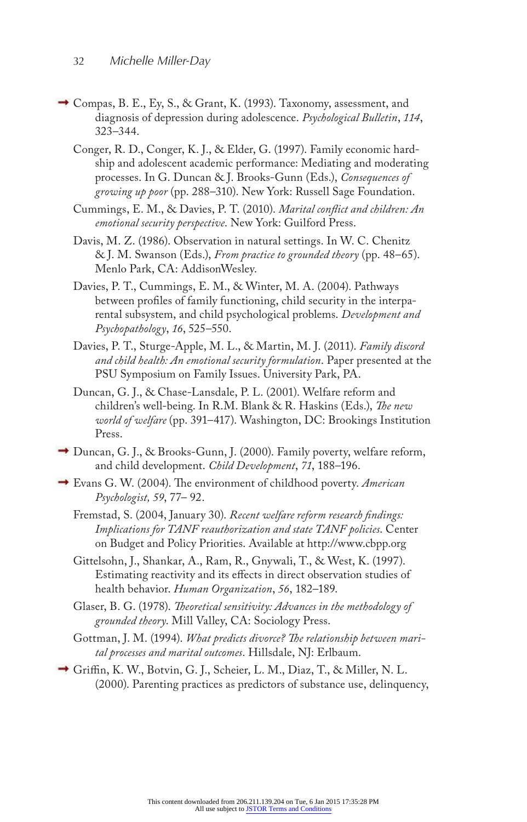- Compas, B. E., Ey, S., & Grant, K. (1993). Taxonomy, assessment, and diagnosis of depression during adolescence. *Psychological Bulletin*, *114*, 323–344.
	- Conger, R. D., Conger, K. J., & Elder, G. (1997). Family economic hardship and adolescent academic performance: Mediating and moderating processes. In G. Duncan & J. Brooks-Gunn (Eds.), *Consequences of growing up poor* (pp. 288–310). New York: Russell Sage Foundation.
	- Cummings, E. M., & Davies, P. T. (2010). *Marital conflict and children: An emotional security perspective*. New York: Guilford Press.
	- Davis, M. Z. (1986). Observation in natural settings. In W. C. Chenitz & J. M. Swanson (Eds.), *From practice to grounded theory* (pp. 48–65). Menlo Park, CA: AddisonWesley.
	- Davies, P. T., Cummings, E. M., & Winter, M. A. (2004). Pathways between profiles of family functioning, child security in the interparental subsystem, and child psychological problems. *Development and Psychopathology*, *16*, 525–550.
	- Davies, P. T., Sturge-Apple, M. L., & Martin, M. J. (2011). *Family discord and child health: An emotional security formulation*. Paper presented at the PSU Symposium on Family Issues. University Park, PA.
	- Duncan, G. J., & Chase-Lansdale, P. L. (2001). Welfare reform and children's well-being. In R.M. Blank & R. Haskins (Eds.), *The new world of welfare* (pp. 391–417). Washington, DC: Brookings Institution Press.
- → Duncan, G. J., & Brooks-Gunn, J. (2000). Family poverty, welfare reform, and child development. *Child Development*, *71*, 188–196.
- Evans G. W. (2004). The environment of childhood poverty. *American Psychologist, 59*, 77– 92.
	- Fremstad, S. (2004, January 30). *Recent welfare reform research findings: Implications for TANF reauthorization and state TANF policies*. Center on Budget and Policy Priorities. Available at http://www.cbpp.org
	- Gittelsohn, J., Shankar, A., Ram, R., Gnywali, T., & West, K. (1997). Estimating reactivity and its effects in direct observation studies of health behavior. *Human Organization*, *56*, 182–189.
	- Glaser, B. G. (1978). *Theoretical sensitivity: Advances in the methodology of grounded theory*. Mill Valley, CA: Sociology Press.
	- Gottman, J. M. (1994). *What predicts divorce? The relationship between marital processes and marital outcomes*. Hillsdale, NJ: Erlbaum.
- Griffin, K. W., Botvin, G. J., Scheier, L. M., Diaz, T., & Miller, N. L. (2000). Parenting practices as predictors of substance use, delinquency,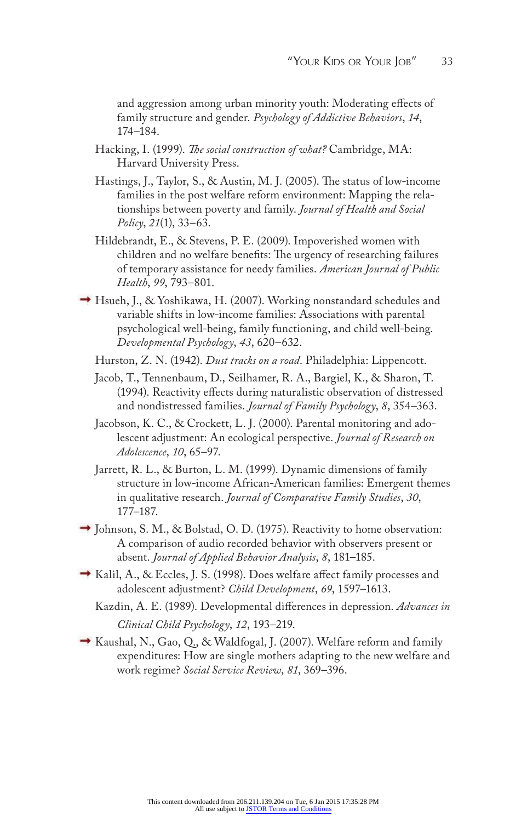and aggression among urban minority youth: Moderating effects of family structure and gender. *Psychology of Addictive Behaviors*, *14*, 174–184.

- Hacking, I. (1999). *The social construction of what?* Cambridge, MA: Harvard University Press.
- Hastings, J., Taylor, S., & Austin, M. J. (2005). The status of low-income families in the post welfare reform environment: Mapping the relationships between poverty and family. *Journal of Health and Social Policy*, *21*(1), 33–63.
- Hildebrandt, E., & Stevens, P. E. (2009). Impoverished women with children and no welfare benefits: The urgency of researching failures of temporary assistance for needy families. *American Journal of Public Health*, *99*, 793–801.
- Hsueh, J., & Yoshikawa, H. (2007). Working nonstandard schedules and variable shifts in low-income families: Associations with parental psychological well-being, family functioning, and child well-being. *Developmental Psychology*, *43*, 620–632.
	- Hurston, Z. N. (1942). *Dust tracks on a road*. Philadelphia: Lippencott.
	- Jacob, T., Tennenbaum, D., Seilhamer, R. A., Bargiel, K., & Sharon, T. (1994). Reactivity effects during naturalistic observation of distressed and nondistressed families. *Journal of Family Psychology*, *8*, 354–363.
	- Jacobson, K. C., & Crockett, L. J. (2000). Parental monitoring and adolescent adjustment: An ecological perspective. *Journal of Research on Adolescence*, *10*, 65–97.
	- Jarrett, R. L., & Burton, L. M. (1999). Dynamic dimensions of family structure in low-income African-American families: Emergent themes in qualitative research. *Journal of Comparative Family Studies*, *30*, 177–187.
- Johnson, S. M., & Bolstad, O. D. (1975). Reactivity to home observation: A comparison of audio recorded behavior with observers present or absent. *Journal of Applied Behavior Analysis*, *8*, 181–185.
- Kalil, A., & Eccles, J. S. (1998). Does welfare affect family processes and adolescent adjustment? *Child Development*, *69*, 1597–1613.
	- Kazdin, A. E. (1989). Developmental differences in depression. *Advances in Clinical Child Psychology*, *12*, 193–219.
- Kaushal, N., Gao, Q., & Waldfogal, J. (2007). Welfare reform and family expenditures: How are single mothers adapting to the new welfare and work regime? *Social Service Review*, *81*, 369–396.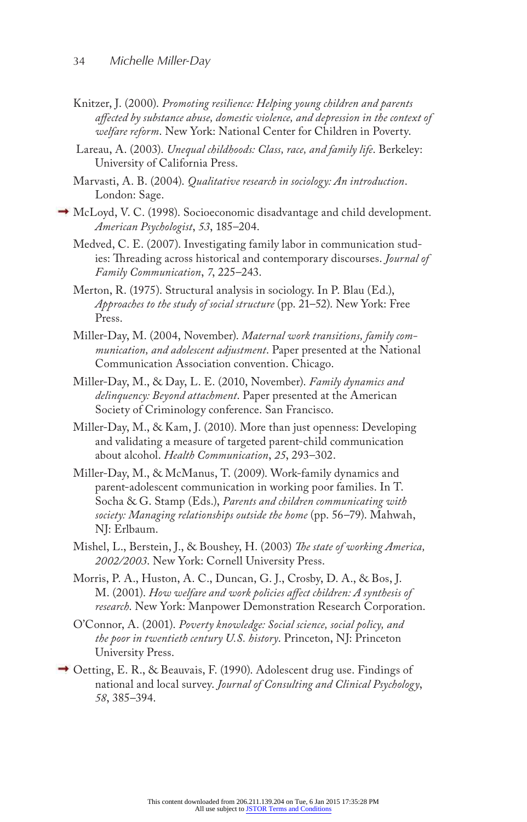- Knitzer, J. (2000). *Promoting resilience: Helping young children and parents affected by substance abuse, domestic violence, and depression in the context of welfare reform*. New York: National Center for Children in Poverty.
- Lareau, A. (2003). *Unequal childhoods: Class, race, and family life*. Berkeley: University of California Press.
- Marvasti, A. B. (2004). *Qualitative research in sociology: An introduction*. London: Sage.
- McLoyd, V. C. (1998). Socioeconomic disadvantage and child development. *American Psychologist*, *53*, 185–204.
	- Medved, C. E. (2007). Investigating family labor in communication studies: Threading across historical and contemporary discourses. *Journal of Family Communication*, *7*, 225–243.
	- Merton, R. (1975). Structural analysis in sociology. In P. Blau (Ed.), *Approaches to the study of social structure* (pp. 21–52). New York: Free Press.
	- Miller-Day, M. (2004, November). *Maternal work transitions, family communication, and adolescent adjustment*. Paper presented at the National Communication Association convention. Chicago.
	- Miller-Day, M., & Day, L. E. (2010, November). *Family dynamics and delinquency: Beyond attachment*. Paper presented at the American Society of Criminology conference. San Francisco.
	- Miller-Day, M., & Kam, J. (2010). More than just openness: Developing and validating a measure of targeted parent-child communication about alcohol. *Health Communication*, *25*, 293–302.
	- Miller-Day, M., & McManus, T. (2009). Work-family dynamics and parent-adolescent communication in working poor families. In T. Socha & G. Stamp (Eds.), *Parents and children communicating with society: Managing relationships outside the home* (pp. 56–79). Mahwah, NJ: Erlbaum.
	- Mishel, L., Berstein, J., & Boushey, H. (2003) *The state of working America, 2002/2003*. New York: Cornell University Press.
	- Morris, P. A., Huston, A. C., Duncan, G. J., Crosby, D. A., & Bos, J. M. (2001). *How welfare and work policies affect children: A synthesis of research*. New York: Manpower Demonstration Research Corporation.
	- O'Connor, A. (2001). *Poverty knowledge: Social science, social policy, and the poor in twentieth century U.S. history*. Princeton, NJ: Princeton University Press.
- Oetting, E. R., & Beauvais, F. (1990). Adolescent drug use. Findings of national and local survey. *Journal of Consulting and Clinical Psychology*, *58*, 385–394.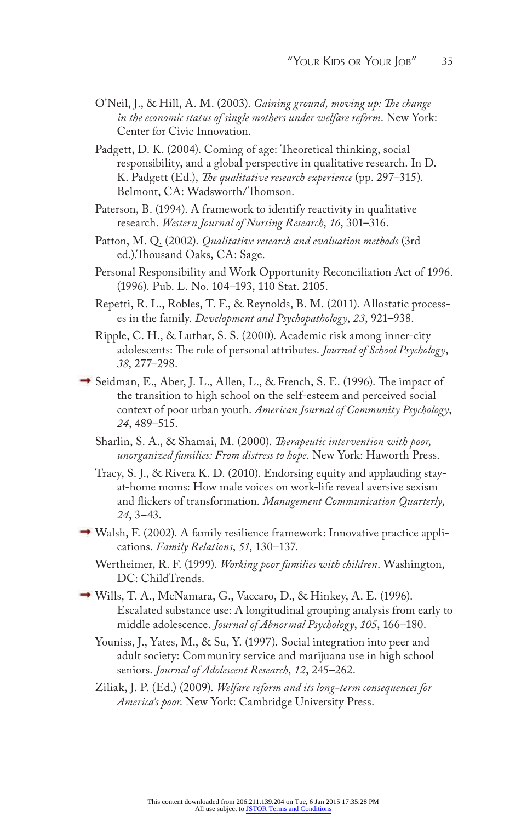- O'Neil, J., & Hill, A. M. (2003). *Gaining ground, moving up: The change in the economic status of single mothers under welfare reform*. New York: Center for Civic Innovation.
- Padgett, D. K. (2004). Coming of age: Theoretical thinking, social responsibility, and a global perspective in qualitative research. In D. K. Padgett (Ed.), *The qualitative research experience* (pp. 297–315). Belmont, CA: Wadsworth/Thomson.
- Paterson, B. (1994). A framework to identify reactivity in qualitative research. *Western Journal of Nursing Research*, *16*, 301–316.
- Patton, M. Q. (2002). *Qualitative research and evaluation methods* (3rd ed.).Thousand Oaks, CA: Sage.
- Personal Responsibility and Work Opportunity Reconciliation Act of 1996. (1996). Pub. L. No. 104–193, 110 Stat. 2105.
- Repetti, R. L., Robles, T. F., & Reynolds, B. M. (2011). Allostatic processes in the family. *Development and Psychopathology*, *23*, 921–938.
- Ripple, C. H., & Luthar, S. S. (2000). Academic risk among inner-city adolescents: The role of personal attributes. *Journal of School Psychology*, *38*, 277–298.
- Seidman, E., Aber, J. L., Allen, L., & French, S. E. (1996). The impact of the transition to high school on the self-esteem and perceived social context of poor urban youth. *American Journal of Community Psychology*, *24*, 489–515.
	- Sharlin, S. A., & Shamai, M. (2000). *Therapeutic intervention with poor, unorganized families: From distress to hope*. New York: Haworth Press.
	- Tracy, S. J., & Rivera K. D. (2010). Endorsing equity and applauding stayat-home moms: How male voices on work-life reveal aversive sexism and flickers of transformation. *Management Communication Quarterly*, *24*, 3–43.
- Walsh, F. (2002). A family resilience framework: Innovative practice applications. *Family Relations*, *51*, 130–137.
	- Wertheimer, R. F. (1999). *Working poor families with children*. Washington, DC: ChildTrends.
- Wills, T. A., McNamara, G., Vaccaro, D., & Hinkey, A. E. (1996). Escalated substance use: A longitudinal grouping analysis from early to middle adolescence. *Journal of Abnormal Psychology*, *105*, 166–180.
	- Youniss, J., Yates, M., & Su, Y. (1997). Social integration into peer and adult society: Community service and marijuana use in high school seniors. *Journal of Adolescent Research*, *12*, 245–262.
	- Ziliak, J. P. (Ed.) (2009). *Welfare reform and its long-term consequences for America's poor*. New York: Cambridge University Press.